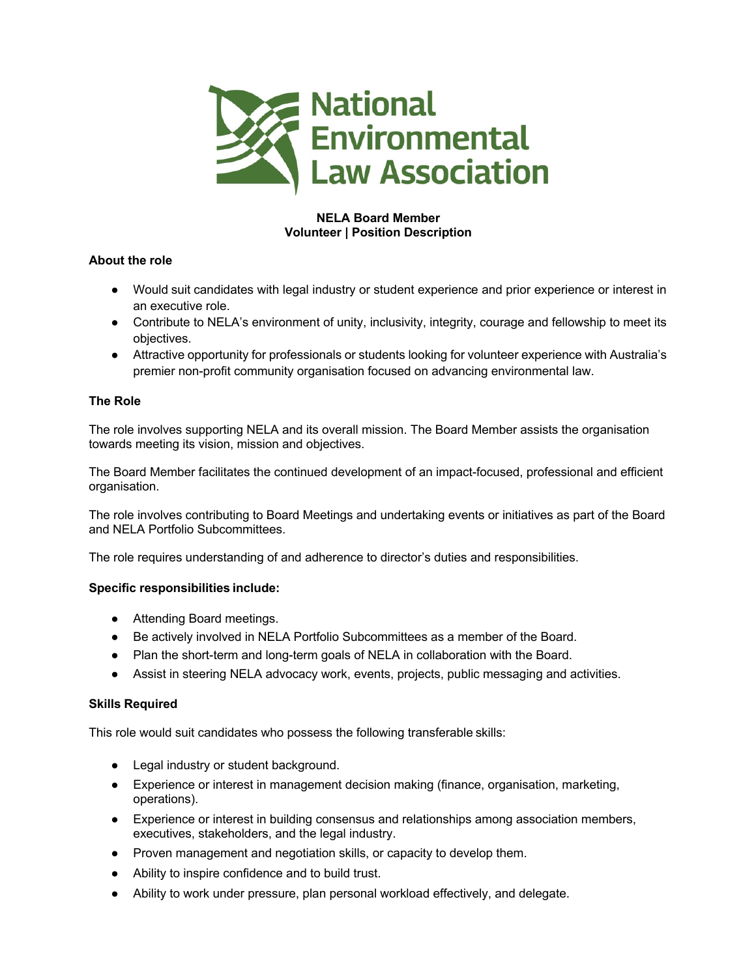

# **NELA Board Member Volunteer | Position Description**

# **About the role**

- Would suit candidates with legal industry or student experience and prior experience or interest in an executive role.
- Contribute to NELA's environment of unity, inclusivity, integrity, courage and fellowship to meet its objectives.
- Attractive opportunity for professionals or students looking for volunteer experience with Australia's premier non-profit community organisation focused on advancing environmental law.

# **The Role**

The role involves supporting NELA and its overall mission. The Board Member assists the organisation towards meeting its vision, mission and objectives.

The Board Member facilitates the continued development of an impact-focused, professional and efficient organisation.

The role involves contributing to Board Meetings and undertaking events or initiatives as part of the Board and NELA Portfolio Subcommittees.

The role requires understanding of and adherence to director's duties and responsibilities.

# **Specific responsibilities include:**

- Attending Board meetings.
- Be actively involved in NELA Portfolio Subcommittees as a member of the Board.
- Plan the short-term and long-term goals of NELA in collaboration with the Board.
- Assist in steering NELA advocacy work, events, projects, public messaging and activities.

# **Skills Required**

This role would suit candidates who possess the following transferable skills:

- Legal industry or student background.
- Experience or interest in management decision making (finance, organisation, marketing, operations).
- Experience or interest in building consensus and relationships among association members, executives, stakeholders, and the legal industry.
- Proven management and negotiation skills, or capacity to develop them.
- Ability to inspire confidence and to build trust.
- Ability to work under pressure, plan personal workload effectively, and delegate.